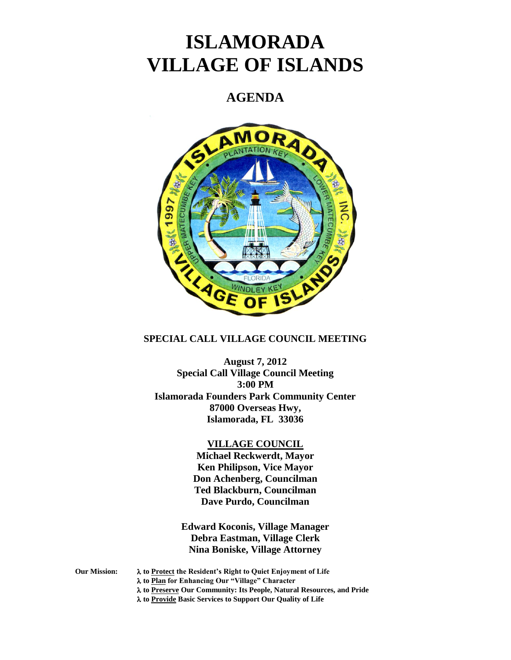# **ISLAMORADA VILLAGE OF ISLANDS**

## **AGENDA**



### **SPECIAL CALL VILLAGE COUNCIL MEETING**

**August 7, 2012 Special Call Village Council Meeting 3:00 PM Islamorada Founders Park Community Center 87000 Overseas Hwy, Islamorada, FL 33036**

#### **VILLAGE COUNCIL**

**Michael Reckwerdt, Mayor Ken Philipson, Vice Mayor Don Achenberg, Councilman Ted Blackburn, Councilman Dave Purdo, Councilman**

**Edward Koconis, Village Manager Debra Eastman, Village Clerk Nina Boniske, Village Attorney**

**Our Mission: to Protect the Resident's Right to Quiet Enjoyment of Life to Plan for Enhancing Our "Village" Character to Preserve Our Community: Its People, Natural Resources, and Pride to Provide Basic Services to Support Our Quality of Life**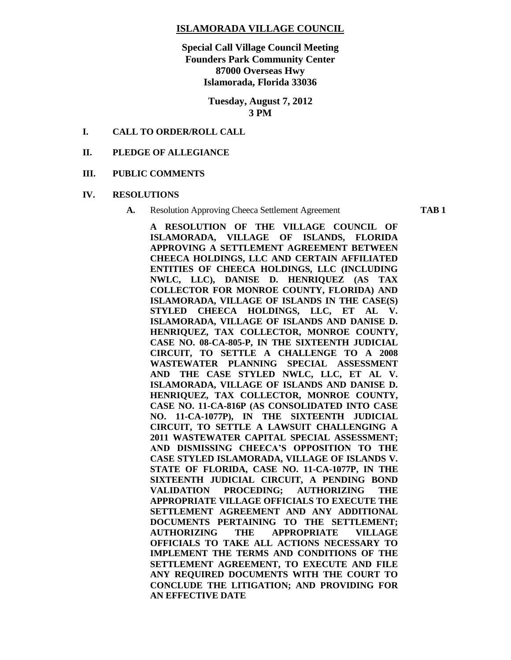#### **ISLAMORADA VILLAGE COUNCIL**

**Special Call Village Council Meeting Founders Park Community Center 87000 Overseas Hwy Islamorada, Florida 33036**

> **Tuesday, August 7, 2012 3 PM**

#### **I. CALL TO ORDER/ROLL CALL**

#### **II. PLEDGE OF ALLEGIANCE**

#### **III. PUBLIC COMMENTS**

#### **IV. RESOLUTIONS**

**A.** Resolution Approving Cheeca Settlement Agreement **TAB 1**

**A RESOLUTION OF THE VILLAGE COUNCIL OF ISLAMORADA, VILLAGE OF ISLANDS, FLORIDA APPROVING A SETTLEMENT AGREEMENT BETWEEN CHEECA HOLDINGS, LLC AND CERTAIN AFFILIATED ENTITIES OF CHEECA HOLDINGS, LLC (INCLUDING NWLC, LLC), DANISE D. HENRIQUEZ (AS TAX COLLECTOR FOR MONROE COUNTY, FLORIDA) AND ISLAMORADA, VILLAGE OF ISLANDS IN THE CASE(S) STYLED CHEECA HOLDINGS, LLC, ET AL V. ISLAMORADA, VILLAGE OF ISLANDS AND DANISE D. HENRIQUEZ, TAX COLLECTOR, MONROE COUNTY, CASE NO. 08-CA-805-P, IN THE SIXTEENTH JUDICIAL CIRCUIT, TO SETTLE A CHALLENGE TO A 2008 WASTEWATER PLANNING SPECIAL ASSESSMENT AND THE CASE STYLED NWLC, LLC, ET AL V. ISLAMORADA, VILLAGE OF ISLANDS AND DANISE D. HENRIQUEZ, TAX COLLECTOR, MONROE COUNTY, CASE NO. 11-CA-816P (AS CONSOLIDATED INTO CASE NO. 11-CA-1077P), IN THE SIXTEENTH JUDICIAL CIRCUIT, TO SETTLE A LAWSUIT CHALLENGING A 2011 WASTEWATER CAPITAL SPECIAL ASSESSMENT; AND DISMISSING CHEECA'S OPPOSITION TO THE CASE STYLED ISLAMORADA, VILLAGE OF ISLANDS V. STATE OF FLORIDA, CASE NO. 11-CA-1077P, IN THE SIXTEENTH JUDICIAL CIRCUIT, A PENDING BOND VALIDATION PROCEDING; AUTHORIZING THE APPROPRIATE VILLAGE OFFICIALS TO EXECUTE THE SETTLEMENT AGREEMENT AND ANY ADDITIONAL DOCUMENTS PERTAINING TO THE SETTLEMENT; AUTHORIZING THE APPROPRIATE VILLAGE OFFICIALS TO TAKE ALL ACTIONS NECESSARY TO IMPLEMENT THE TERMS AND CONDITIONS OF THE SETTLEMENT AGREEMENT, TO EXECUTE AND FILE ANY REQUIRED DOCUMENTS WITH THE COURT TO CONCLUDE THE LITIGATION; AND PROVIDING FOR AN EFFECTIVE DATE**